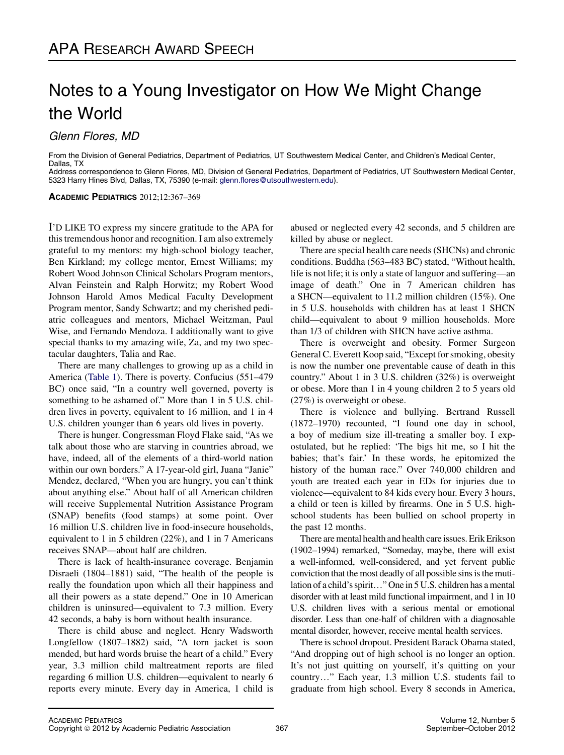# Notes to a Young Investigator on How We Might Change the World

Glenn Flores, MD

From the Division of General Pediatrics, Department of Pediatrics, UT Southwestern Medical Center, and Children's Medical Center, Dallas, TX

Address correspondence to Glenn Flores, MD, Division of General Pediatrics, Department of Pediatrics, UT Southwestern Medical Center, 5323 Harry Hines Blvd, Dallas, TX, 75390 (e-mail: [glenn.flores@utsouthwestern.edu\)](mailto:glenn.flores@utsouthwestern.edu).

ACADEMIC PEDIATRICS 2012;12:367–369

I'D LIKE TO express my sincere gratitude to the APA for this tremendous honor and recognition. I am also extremely grateful to my mentors: my high-school biology teacher, Ben Kirkland; my college mentor, Ernest Williams; my Robert Wood Johnson Clinical Scholars Program mentors, Alvan Feinstein and Ralph Horwitz; my Robert Wood Johnson Harold Amos Medical Faculty Development Program mentor, Sandy Schwartz; and my cherished pediatric colleagues and mentors, Michael Weitzman, Paul Wise, and Fernando Mendoza. I additionally want to give special thanks to my amazing wife, Za, and my two spectacular daughters, Talia and Rae.

There are many challenges to growing up as a child in America [\(Table 1](#page-1-0)). There is poverty. Confucius (551–479 BC) once said, "In a country well governed, poverty is something to be ashamed of." More than 1 in 5 U.S. children lives in poverty, equivalent to 16 million, and 1 in 4 U.S. children younger than 6 years old lives in poverty.

There is hunger. Congressman Floyd Flake said, "As we talk about those who are starving in countries abroad, we have, indeed, all of the elements of a third-world nation within our own borders." A 17-year-old girl, Juana "Janie" Mendez, declared, "When you are hungry, you can't think about anything else." About half of all American children will receive Supplemental Nutrition Assistance Program (SNAP) benefits (food stamps) at some point. Over 16 million U.S. children live in food-insecure households, equivalent to 1 in 5 children (22%), and 1 in 7 Americans receives SNAP—about half are children.

There is lack of health-insurance coverage. Benjamin Disraeli (1804–1881) said, "The health of the people is really the foundation upon which all their happiness and all their powers as a state depend." One in 10 American children is uninsured—equivalent to 7.3 million. Every 42 seconds, a baby is born without health insurance.

There is child abuse and neglect. Henry Wadsworth Longfellow (1807–1882) said, "A torn jacket is soon mended, but hard words bruise the heart of a child." Every year, 3.3 million child maltreatment reports are filed regarding 6 million U.S. children—equivalent to nearly 6 reports every minute. Every day in America, 1 child is

abused or neglected every 42 seconds, and 5 children are killed by abuse or neglect.

There are special health care needs (SHCNs) and chronic conditions. Buddha (563–483 BC) stated, "Without health, life is not life; it is only a state of languor and suffering—an image of death." One in 7 American children has a SHCN—equivalent to 11.2 million children (15%). One in 5 U.S. households with children has at least 1 SHCN child—equivalent to about 9 million households. More than 1/3 of children with SHCN have active asthma.

There is overweight and obesity. Former Surgeon General C. Everett Koop said, "Except for smoking, obesity is now the number one preventable cause of death in this country." About 1 in 3 U.S. children (32%) is overweight or obese. More than 1 in 4 young children 2 to 5 years old (27%) is overweight or obese.

There is violence and bullying. Bertrand Russell (1872–1970) recounted, "I found one day in school, a boy of medium size ill-treating a smaller boy. I expostulated, but he replied: 'The bigs hit me, so I hit the babies; that's fair.' In these words, he epitomized the history of the human race." Over 740,000 children and youth are treated each year in EDs for injuries due to violence—equivalent to 84 kids every hour. Every 3 hours, a child or teen is killed by firearms. One in 5 U.S. highschool students has been bullied on school property in the past 12 months.

There are mental health and health care issues. Erik Erikson (1902–1994) remarked, "Someday, maybe, there will exist a well-informed, well-considered, and yet fervent public conviction that the most deadly of all possible sins is the mutilation of a child's spirit..." One in 5 U.S. children has a mental disorder with at least mild functional impairment, and 1 in 10 U.S. children lives with a serious mental or emotional disorder. Less than one-half of children with a diagnosable mental disorder, however, receive mental health services.

There is school dropout. President Barack Obama stated, "And dropping out of high school is no longer an option. It's not just quitting on yourself, it's quitting on your country..." Each year, 1.3 million U.S. students fail to graduate from high school. Every 8 seconds in America,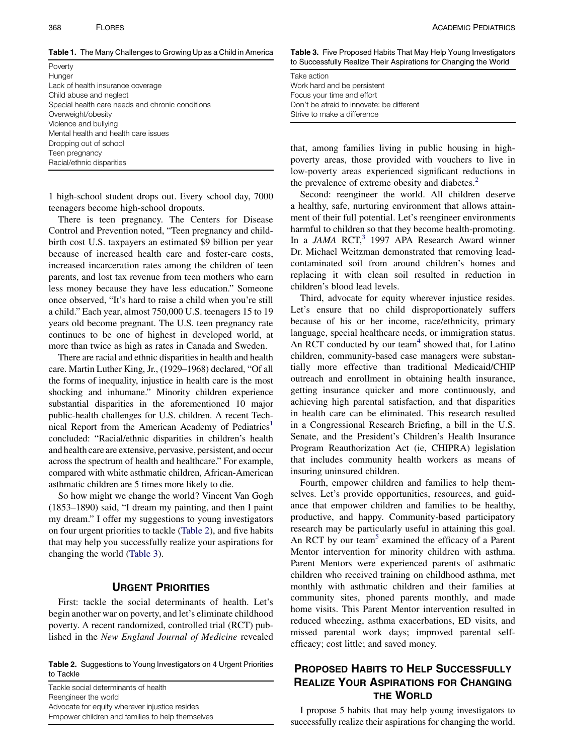<span id="page-1-0"></span>Table 1. The Many Challenges to Growing Up as a Child in America

Poverty Hunger Lack of health insurance coverage Child abuse and neglect Special health care needs and chronic conditions Overweight/obesity Violence and bullying Mental health and health care issues Dropping out of school Teen pregnancy Racial/ethnic disparities

1 high-school student drops out. Every school day, 7000 teenagers become high-school dropouts.

There is teen pregnancy. The Centers for Disease Control and Prevention noted, "Teen pregnancy and childbirth cost U.S. taxpayers an estimated \$9 billion per year because of increased health care and foster-care costs, increased incarceration rates among the children of teen parents, and lost tax revenue from teen mothers who earn less money because they have less education." Someone once observed, "It's hard to raise a child when you're still a child." Each year, almost 750,000 U.S. teenagers 15 to 19 years old become pregnant. The U.S. teen pregnancy rate continues to be one of highest in developed world, at more than twice as high as rates in Canada and Sweden.

There are racial and ethnic disparities in health and health care. Martin Luther King, Jr., (1929–1968) declared, "Of all the forms of inequality, injustice in health care is the most shocking and inhumane." Minority children experience substantial disparities in the aforementioned 10 major public-health challenges for U.S. children. A recent Tech-nical Report from the American Academy of Pediatrics<sup>[1](#page-2-0)</sup> concluded: "Racial/ethnic disparities in children's health and health care are extensive, pervasive, persistent, and occur across the spectrum of health and healthcare." For example, compared with white asthmatic children, African-American asthmatic children are 5 times more likely to die.

So how might we change the world? Vincent Van Gogh (1853–1890) said, "I dream my painting, and then I paint my dream." I offer my suggestions to young investigators on four urgent priorities to tackle (Table 2), and five habits that may help you successfully realize your aspirations for changing the world (Table 3).

# URGENT PRIORITIES

First: tackle the social determinants of health. Let's begin another war on poverty, and let's eliminate childhood poverty. A recent randomized, controlled trial (RCT) published in the New England Journal of Medicine revealed

Table 2. Suggestions to Young Investigators on 4 Urgent Priorities to Tackle

Tackle social determinants of health Reengineer the world Advocate for equity wherever injustice resides Empower children and families to help themselves Table 3. Five Proposed Habits That May Help Young Investigators to Successfully Realize Their Aspirations for Changing the World

Take action Work hard and be persistent Focus your time and effort Don't be afraid to innovate: be different Strive to make a difference

that, among families living in public housing in highpoverty areas, those provided with vouchers to live in low-poverty areas experienced significant reductions in the prevalence of extreme obesity and diabetes.<sup>[2](#page-2-0)</sup>

Second: reengineer the world. All children deserve a healthy, safe, nurturing environment that allows attainment of their full potential. Let's reengineer environments harmful to children so that they become health-promoting. In a JAMA  $RCT<sub>3</sub>$  $RCT<sub>3</sub>$  $RCT<sub>3</sub>$  1997 APA Research Award winner Dr. Michael Weitzman demonstrated that removing leadcontaminated soil from around children's homes and replacing it with clean soil resulted in reduction in children's blood lead levels.

Third, advocate for equity wherever injustice resides. Let's ensure that no child disproportionately suffers because of his or her income, race/ethnicity, primary language, special healthcare needs, or immigration status. An RCT conducted by our team<sup>[4](#page-2-0)</sup> showed that, for Latino children, community-based case managers were substantially more effective than traditional Medicaid/CHIP outreach and enrollment in obtaining health insurance, getting insurance quicker and more continuously, and achieving high parental satisfaction, and that disparities in health care can be eliminated. This research resulted in a Congressional Research Briefing, a bill in the U.S. Senate, and the President's Children's Health Insurance Program Reauthorization Act (ie, CHIPRA) legislation that includes community health workers as means of insuring uninsured children.

Fourth, empower children and families to help themselves. Let's provide opportunities, resources, and guidance that empower children and families to be healthy, productive, and happy. Community-based participatory research may be particularly useful in attaining this goal. An RCT by our team<sup>[5](#page-2-0)</sup> examined the efficacy of a Parent Mentor intervention for minority children with asthma. Parent Mentors were experienced parents of asthmatic children who received training on childhood asthma, met monthly with asthmatic children and their families at community sites, phoned parents monthly, and made home visits. This Parent Mentor intervention resulted in reduced wheezing, asthma exacerbations, ED visits, and missed parental work days; improved parental selfefficacy; cost little; and saved money.

# PROPOSED HABITS TO HELP SUCCESSFULLY REALIZE YOUR ASPIRATIONS FOR CHANGING THE WORLD

I propose 5 habits that may help young investigators to successfully realize their aspirations for changing the world.